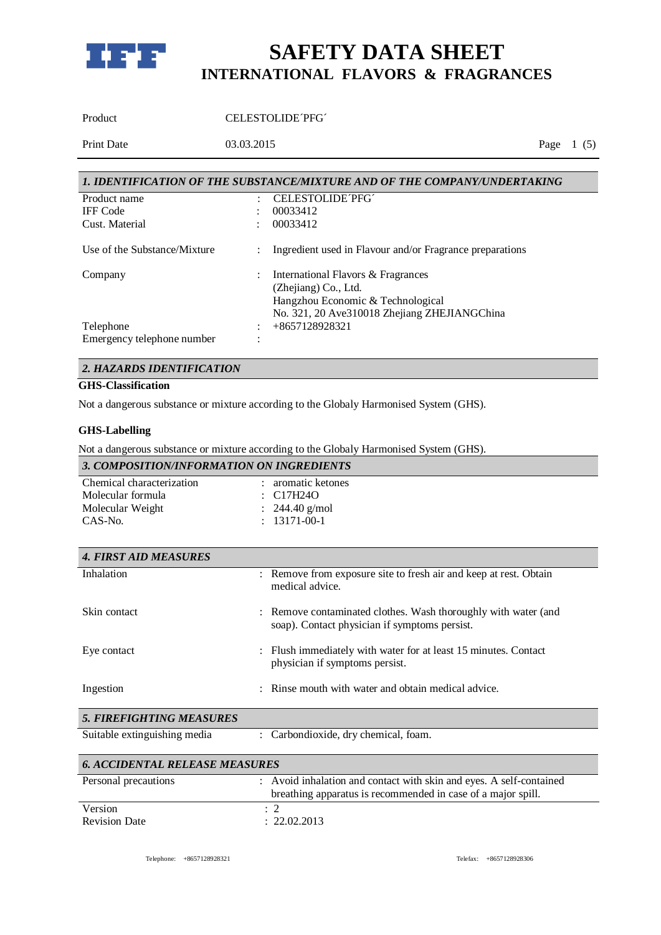

Product CELESTOLIDE<sup>TPFG</sup>

Print Date 03.03.2015 Page 1 (5)

| 1. IDENTIFICATION OF THE SUBSTANCE/MIXTURE AND OF THE COMPANY/UNDERTAKING |  |                                                                                                                                                 |
|---------------------------------------------------------------------------|--|-------------------------------------------------------------------------------------------------------------------------------------------------|
| Product name                                                              |  | CELESTOLIDE PFG                                                                                                                                 |
| <b>IFF</b> Code                                                           |  | 00033412                                                                                                                                        |
| Cust. Material                                                            |  | 00033412                                                                                                                                        |
| Use of the Substance/Mixture                                              |  | Ingredient used in Flavour and/or Fragrance preparations                                                                                        |
| Company                                                                   |  | International Flavors & Fragrances<br>(Zhejiang) Co., Ltd.<br>Hangzhou Economic & Technological<br>No. 321, 20 Ave310018 Zhejiang ZHEJIANGChina |
| Telephone<br>Emergency telephone number                                   |  | +8657128928321                                                                                                                                  |

### *2. HAZARDS IDENTIFICATION*

### **GHS-Classification**

Not a dangerous substance or mixture according to the Globaly Harmonised System (GHS).

#### **GHS-Labelling**

Not a dangerous substance or mixture according to the Globaly Harmonised System (GHS).

| 3. COMPOSITION/INFORMATION ON INGREDIENTS |                    |  |
|-------------------------------------------|--------------------|--|
| Chemical characterization                 | aromatic ketones   |  |
| Molecular formula                         | $\div$ C17H24O     |  |
| Molecular Weight                          | : $244.40$ g/mol   |  |
| CAS-No.                                   | $: 13171 - 00 - 1$ |  |

| <b>4. FIRST AID MEASURES</b>    |                                                                                                                 |
|---------------------------------|-----------------------------------------------------------------------------------------------------------------|
| Inhalation                      | : Remove from exposure site to fresh air and keep at rest. Obtain<br>medical advice.                            |
| Skin contact                    | : Remove contaminated clothes. Wash thoroughly with water (and<br>soap). Contact physician if symptoms persist. |
| Eye contact                     | : Flush immediately with water for at least 15 minutes. Contact<br>physician if symptoms persist.               |
| Ingestion                       | : Rinse mouth with water and obtain medical advice.                                                             |
| <b>5. FIREFIGHTING MEASURES</b> |                                                                                                                 |
| Suitable extinguishing media    | : Carbondioxide, dry chemical, foam.                                                                            |

| <b>6. ACCIDENTAL RELEASE MEASURES</b> |                                                                                                                                     |  |
|---------------------------------------|-------------------------------------------------------------------------------------------------------------------------------------|--|
| Personal precautions                  | : Avoid inhalation and contact with skin and eyes. A self-contained<br>breathing apparatus is recommended in case of a major spill. |  |
| Version                               |                                                                                                                                     |  |
| <b>Revision Date</b>                  | : 22.02.2013                                                                                                                        |  |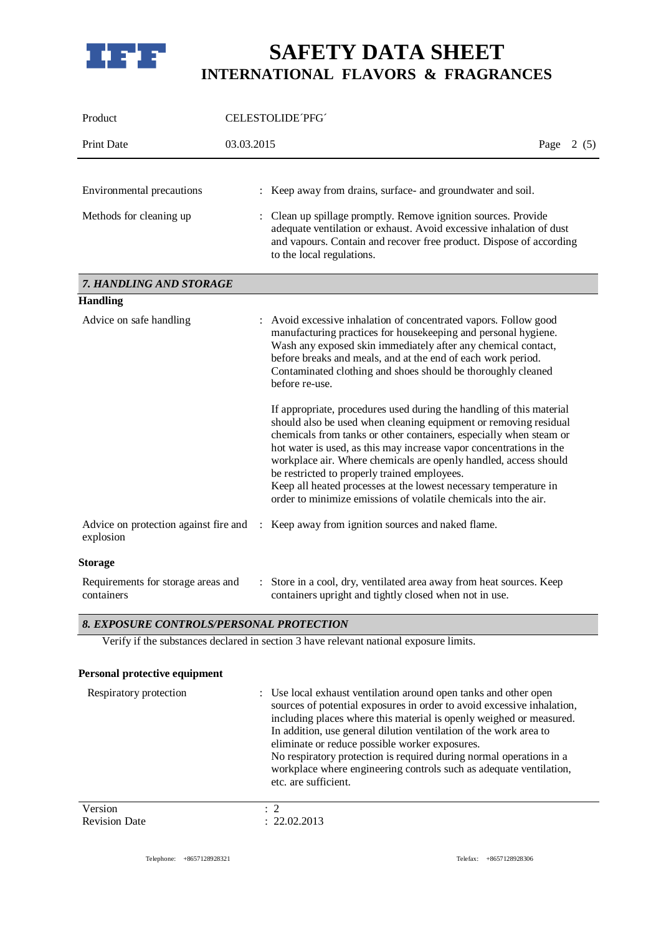

| Product                                            | CELESTOLIDE PFG                                                                                                                                                                                                                                                                                                                                                                                                                                                                                                                                  |              |
|----------------------------------------------------|--------------------------------------------------------------------------------------------------------------------------------------------------------------------------------------------------------------------------------------------------------------------------------------------------------------------------------------------------------------------------------------------------------------------------------------------------------------------------------------------------------------------------------------------------|--------------|
| <b>Print Date</b>                                  | 03.03.2015                                                                                                                                                                                                                                                                                                                                                                                                                                                                                                                                       | Page<br>2(5) |
| Environmental precautions                          | : Keep away from drains, surface- and groundwater and soil.                                                                                                                                                                                                                                                                                                                                                                                                                                                                                      |              |
| Methods for cleaning up                            | Clean up spillage promptly. Remove ignition sources. Provide<br>adequate ventilation or exhaust. Avoid excessive inhalation of dust<br>and vapours. Contain and recover free product. Dispose of according<br>to the local regulations.                                                                                                                                                                                                                                                                                                          |              |
| 7. HANDLING AND STORAGE                            |                                                                                                                                                                                                                                                                                                                                                                                                                                                                                                                                                  |              |
| <b>Handling</b>                                    |                                                                                                                                                                                                                                                                                                                                                                                                                                                                                                                                                  |              |
| Advice on safe handling                            | : Avoid excessive inhalation of concentrated vapors. Follow good<br>manufacturing practices for housekeeping and personal hygiene.<br>Wash any exposed skin immediately after any chemical contact,<br>before breaks and meals, and at the end of each work period.<br>Contaminated clothing and shoes should be thoroughly cleaned<br>before re-use.                                                                                                                                                                                            |              |
|                                                    | If appropriate, procedures used during the handling of this material<br>should also be used when cleaning equipment or removing residual<br>chemicals from tanks or other containers, especially when steam or<br>hot water is used, as this may increase vapor concentrations in the<br>workplace air. Where chemicals are openly handled, access should<br>be restricted to properly trained employees.<br>Keep all heated processes at the lowest necessary temperature in<br>order to minimize emissions of volatile chemicals into the air. |              |
| Advice on protection against fire and<br>explosion | : Keep away from ignition sources and naked flame.                                                                                                                                                                                                                                                                                                                                                                                                                                                                                               |              |
| <b>Storage</b>                                     |                                                                                                                                                                                                                                                                                                                                                                                                                                                                                                                                                  |              |
| Requirements for storage areas and<br>containers   | Store in a cool, dry, ventilated area away from heat sources. Keep<br>$\ddot{\phantom{a}}$<br>containers upright and tightly closed when not in use.                                                                                                                                                                                                                                                                                                                                                                                             |              |

### *8. EXPOSURE CONTROLS/PERSONAL PROTECTION*

Verify if the substances declared in section 3 have relevant national exposure limits.

| Personal protective equipment |                                                                                                                                                                                                                                                                                        |
|-------------------------------|----------------------------------------------------------------------------------------------------------------------------------------------------------------------------------------------------------------------------------------------------------------------------------------|
| Respiratory protection        | : Use local exhaust ventilation around open tanks and other open<br>sources of potential exposures in order to avoid excessive inhalation,<br>including places where this material is openly weighed or measured.<br>In addition, use general dilution ventilation of the work area to |
|                               | eliminate or reduce possible worker exposures.                                                                                                                                                                                                                                         |

No respiratory protection is required during normal operations in a workplace where engineering controls such as adequate ventilation, etc. are sufficient.

| Version              |              |
|----------------------|--------------|
| <b>Revision Date</b> | : 22.02.2013 |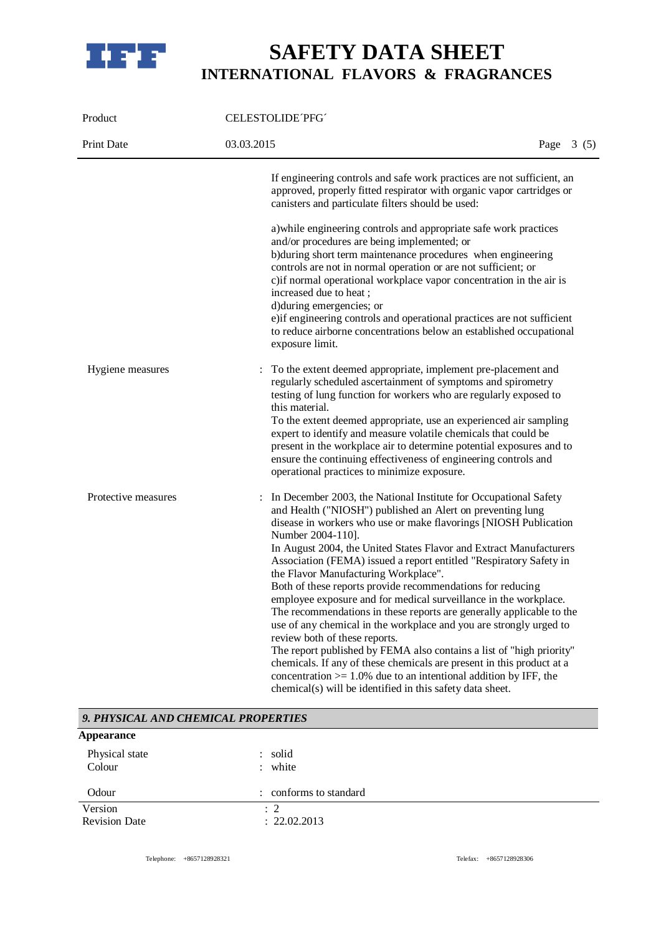

| Product             | CELESTOLIDE PFG                                                                                                                                                                                                                                                                                                                                                                                                                                                                                                                                                                                                                                                                                                                                                                                                                                                                                                                                                                                                    |             |  |
|---------------------|--------------------------------------------------------------------------------------------------------------------------------------------------------------------------------------------------------------------------------------------------------------------------------------------------------------------------------------------------------------------------------------------------------------------------------------------------------------------------------------------------------------------------------------------------------------------------------------------------------------------------------------------------------------------------------------------------------------------------------------------------------------------------------------------------------------------------------------------------------------------------------------------------------------------------------------------------------------------------------------------------------------------|-------------|--|
| <b>Print Date</b>   | 03.03.2015                                                                                                                                                                                                                                                                                                                                                                                                                                                                                                                                                                                                                                                                                                                                                                                                                                                                                                                                                                                                         | Page $3(5)$ |  |
|                     | If engineering controls and safe work practices are not sufficient, an<br>approved, properly fitted respirator with organic vapor cartridges or<br>canisters and particulate filters should be used:                                                                                                                                                                                                                                                                                                                                                                                                                                                                                                                                                                                                                                                                                                                                                                                                               |             |  |
|                     | a) while engineering controls and appropriate safe work practices<br>and/or procedures are being implemented; or<br>b)during short term maintenance procedures when engineering<br>controls are not in normal operation or are not sufficient; or<br>c) if normal operational workplace vapor concentration in the air is<br>increased due to heat;<br>d) during emergencies; or<br>e) if engineering controls and operational practices are not sufficient<br>to reduce airborne concentrations below an established occupational<br>exposure limit.                                                                                                                                                                                                                                                                                                                                                                                                                                                              |             |  |
| Hygiene measures    | To the extent deemed appropriate, implement pre-placement and<br>regularly scheduled ascertainment of symptoms and spirometry<br>testing of lung function for workers who are regularly exposed to<br>this material.<br>To the extent deemed appropriate, use an experienced air sampling<br>expert to identify and measure volatile chemicals that could be<br>present in the workplace air to determine potential exposures and to<br>ensure the continuing effectiveness of engineering controls and<br>operational practices to minimize exposure.                                                                                                                                                                                                                                                                                                                                                                                                                                                             |             |  |
| Protective measures | In December 2003, the National Institute for Occupational Safety<br>and Health ("NIOSH") published an Alert on preventing lung<br>disease in workers who use or make flavorings [NIOSH Publication<br>Number 2004-110].<br>In August 2004, the United States Flavor and Extract Manufacturers<br>Association (FEMA) issued a report entitled "Respiratory Safety in<br>the Flavor Manufacturing Workplace".<br>Both of these reports provide recommendations for reducing<br>employee exposure and for medical surveillance in the workplace.<br>The recommendations in these reports are generally applicable to the<br>use of any chemical in the workplace and you are strongly urged to<br>review both of these reports.<br>The report published by FEMA also contains a list of "high priority"<br>chemicals. If any of these chemicals are present in this product at a<br>concentration $> = 1.0\%$ due to an intentional addition by IFF, the<br>chemical(s) will be identified in this safety data sheet. |             |  |

| 9. PHYSICAL AND CHEMICAL PROPERTIES |                                |  |
|-------------------------------------|--------------------------------|--|
| <b>Appearance</b>                   |                                |  |
| Physical state<br>Colour            | : solid<br>: white             |  |
| Odour                               | : conforms to standard         |  |
| Version<br><b>Revision Date</b>     | $\therefore$ 2<br>: 22.02.2013 |  |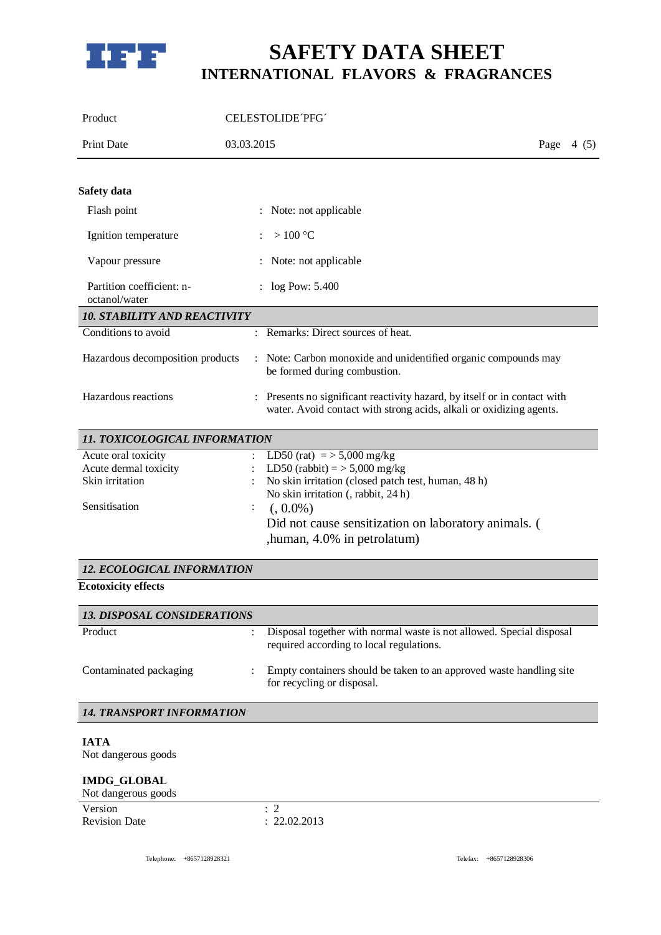

| Product                                                                          |            | CELESTOLIDE PFG                                                                                                                                               |             |
|----------------------------------------------------------------------------------|------------|---------------------------------------------------------------------------------------------------------------------------------------------------------------|-------------|
| <b>Print Date</b>                                                                | 03.03.2015 |                                                                                                                                                               | Page $4(5)$ |
|                                                                                  |            |                                                                                                                                                               |             |
| Safety data                                                                      |            |                                                                                                                                                               |             |
| Flash point                                                                      |            | : Note: not applicable                                                                                                                                        |             |
| Ignition temperature                                                             |            | $>100\text{ °C}$                                                                                                                                              |             |
| Vapour pressure                                                                  |            | : Note: not applicable                                                                                                                                        |             |
| Partition coefficient: n-<br>octanol/water                                       |            | $:$ log Pow: 5.400                                                                                                                                            |             |
| <b>10. STABILITY AND REACTIVITY</b>                                              |            |                                                                                                                                                               |             |
| Conditions to avoid                                                              |            | : Remarks: Direct sources of heat.                                                                                                                            |             |
| Hazardous decomposition products                                                 |            | : Note: Carbon monoxide and unidentified organic compounds may<br>be formed during combustion.                                                                |             |
| Hazardous reactions                                                              |            | : Presents no significant reactivity hazard, by itself or in contact with<br>water. Avoid contact with strong acids, alkali or oxidizing agents.              |             |
| 11. TOXICOLOGICAL INFORMATION                                                    |            |                                                                                                                                                               |             |
| Acute oral toxicity<br>Acute dermal toxicity<br>Skin irritation<br>Sensitisation |            | LD50 (rat) = $>$ 5,000 mg/kg<br>LD50 (rabbit) = $>$ 5,000 mg/kg<br>No skin irritation (closed patch test, human, 48 h)<br>No skin irritation (, rabbit, 24 h) |             |
|                                                                                  |            | $(0.0\%)$<br>Did not cause sensitization on laboratory animals. (<br>, human, 4.0% in petrolatum)                                                             |             |
| 12. ECOLOGICAL INFORMATION                                                       |            |                                                                                                                                                               |             |
| <b>Ecotoxicity effects</b>                                                       |            |                                                                                                                                                               |             |
| <b>13. DISPOSAL CONSIDERATIONS</b>                                               |            |                                                                                                                                                               |             |
| Product                                                                          |            | Disposal together with normal waste is not allowed. Special disposal<br>required according to local regulations.                                              |             |

Contaminated packaging : Empty containers should be taken to an approved waste handling site

for recycling or disposal.

### *14. TRANSPORT INFORMATION*

### **IATA**

Not dangerous goods

### **IMDG\_GLOBAL**

### Not dangerous goods

| Version |                      |              |
|---------|----------------------|--------------|
|         | <b>Revision Date</b> | : 22.02.2013 |